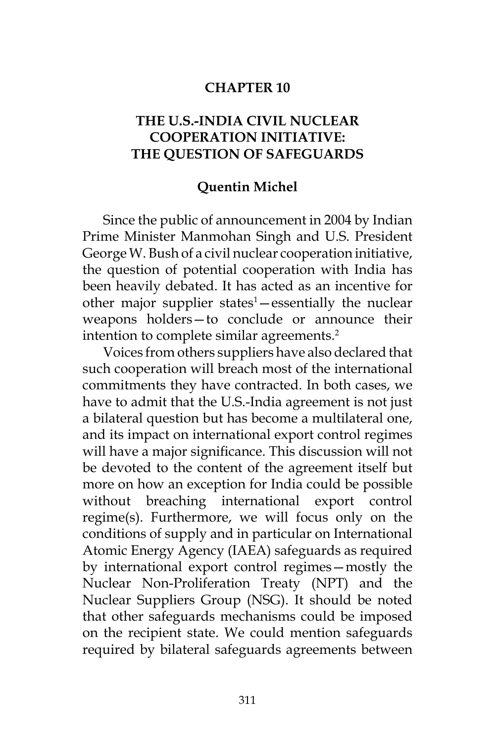### **CHAPTER 10**

# **THE U.S.-INDIA CIVIL NUCLEAR COOPERATION INITIATIVE: THE QUESTION OF SAFEGUARDS**

#### **Quentin Michel**

Since the public of announcement in 2004 by Indian Prime Minister Manmohan Singh and U.S. President George W. Bush of a civil nuclear cooperation initiative, the question of potential cooperation with India has been heavily debated. It has acted as an incentive for other major supplier states<sup>1</sup> – essentially the nuclear weapons holders—to conclude or announce their intention to complete similar agreements.<sup>2</sup>

Voices from others suppliers have also declared that such cooperation will breach most of the international commitments they have contracted. In both cases, we have to admit that the U.S.-India agreement is not just a bilateral question but has become a multilateral one, and its impact on international export control regimes will have a major significance. This discussion will not be devoted to the content of the agreement itself but more on how an exception for India could be possible without breaching international export control regime(s). Furthermore, we will focus only on the conditions of supply and in particular on International Atomic Energy Agency (IAEA) safeguards as required by international export control regimes—mostly the Nuclear Non-Proliferation Treaty (NPT) and the Nuclear Suppliers Group (NSG). It should be noted that other safeguards mechanisms could be imposed on the recipient state. We could mention safeguards required by bilateral safeguards agreements between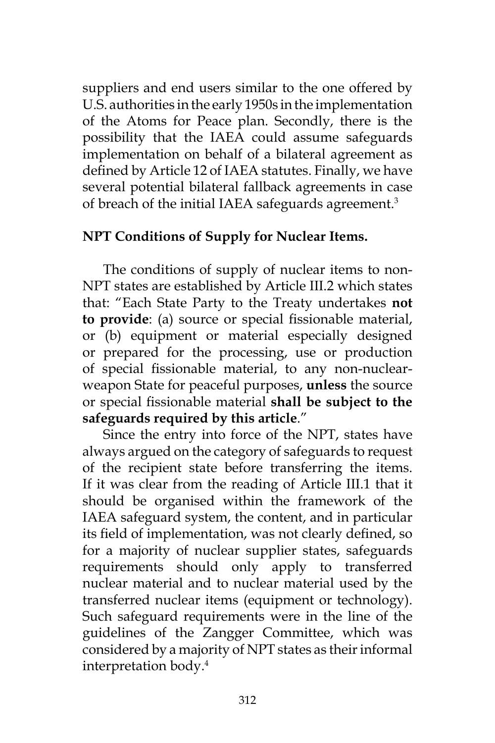suppliers and end users similar to the one offered by U.S. authorities in the early 1950s in the implementation of the Atoms for Peace plan. Secondly, there is the possibility that the IAEA could assume safeguards implementation on behalf of a bilateral agreement as defined by Article 12 of IAEA statutes. Finally, we have several potential bilateral fallback agreements in case of breach of the initial IAEA safeguards agreement.<sup>3</sup>

# **NPT Conditions of Supply for Nuclear Items.**

The conditions of supply of nuclear items to non-NPT states are established by Article III.2 which states that: "Each State Party to the Treaty undertakes **not to provide**: (a) source or special fissionable material, or (b) equipment or material especially designed or prepared for the processing, use or production of special fissionable material, to any non-nuclearweapon State for peaceful purposes, **unless** the source or special fissionable material **shall be subject to the safeguards required by this article**."

Since the entry into force of the NPT, states have always argued on the category of safeguards to request of the recipient state before transferring the items. If it was clear from the reading of Article III.1 that it should be organised within the framework of the IAEA safeguard system, the content, and in particular its field of implementation, was not clearly defined, so for a majority of nuclear supplier states, safeguards requirements should only apply to transferred nuclear material and to nuclear material used by the transferred nuclear items (equipment or technology). Such safeguard requirements were in the line of the guidelines of the Zangger Committee, which was considered by a majority of NPT states as their informal interpretation body.4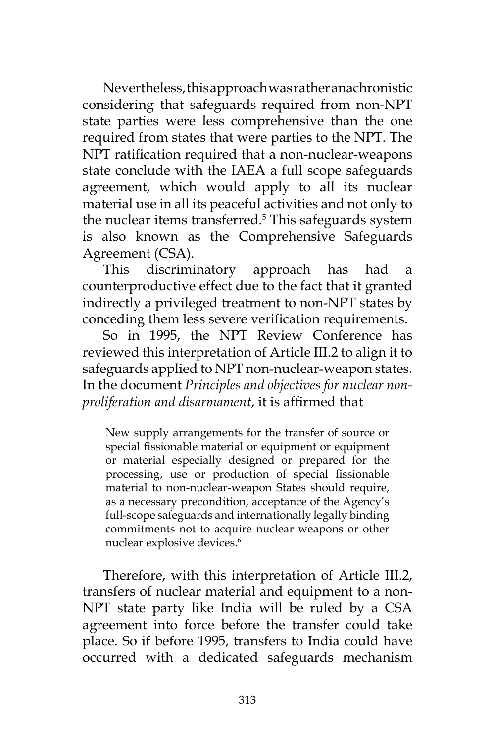Nevertheless, this approach was rather anachronistic considering that safeguards required from non-NPT state parties were less comprehensive than the one required from states that were parties to the NPT. The NPT ratification required that a non-nuclear-weapons state conclude with the IAEA a full scope safeguards agreement, which would apply to all its nuclear material use in all its peaceful activities and not only to the nuclear items transferred.<sup>5</sup> This safeguards system is also known as the Comprehensive Safeguards Agreement (CSA).

This discriminatory approach has had a counterproductive effect due to the fact that it granted indirectly a privileged treatment to non-NPT states by conceding them less severe verification requirements.

So in 1995, the NPT Review Conference has reviewed this interpretation of Article III.2 to align it to safeguards applied to NPT non-nuclear-weapon states. In the document *Principles and objectives for nuclear nonproliferation and disarmament*, it is affirmed that

New supply arrangements for the transfer of source or special fissionable material or equipment or equipment or material especially designed or prepared for the processing, use or production of special fissionable material to non-nuclear-weapon States should require, as a necessary precondition, acceptance of the Agency's full-scope safeguards and internationally legally binding commitments not to acquire nuclear weapons or other nuclear explosive devices.<sup>6</sup>

Therefore, with this interpretation of Article III.2, transfers of nuclear material and equipment to a non-NPT state party like India will be ruled by a CSA agreement into force before the transfer could take place. So if before 1995, transfers to India could have occurred with a dedicated safeguards mechanism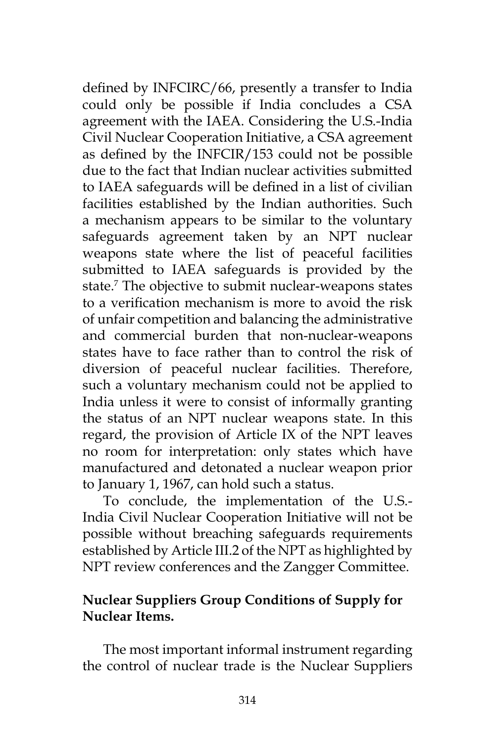defined by INFCIRC/66, presently a transfer to India could only be possible if India concludes a CSA agreement with the IAEA. Considering the U.S.-India Civil Nuclear Cooperation Initiative, a CSA agreement as defined by the INFCIR/153 could not be possible due to the fact that Indian nuclear activities submitted to IAEA safeguards will be defined in a list of civilian facilities established by the Indian authorities. Such a mechanism appears to be similar to the voluntary safeguards agreement taken by an NPT nuclear weapons state where the list of peaceful facilities submitted to IAEA safeguards is provided by the state.7 The objective to submit nuclear-weapons states to a verification mechanism is more to avoid the risk of unfair competition and balancing the administrative and commercial burden that non-nuclear-weapons states have to face rather than to control the risk of diversion of peaceful nuclear facilities. Therefore, such a voluntary mechanism could not be applied to India unless it were to consist of informally granting the status of an NPT nuclear weapons state. In this regard, the provision of Article IX of the NPT leaves no room for interpretation: only states which have manufactured and detonated a nuclear weapon prior to January 1, 1967, can hold such a status.

To conclude, the implementation of the U.S.- India Civil Nuclear Cooperation Initiative will not be possible without breaching safeguards requirements established by Article III.2 of the NPT as highlighted by NPT review conferences and the Zangger Committee.

# **Nuclear Suppliers Group Conditions of Supply for Nuclear Items.**

The most important informal instrument regarding the control of nuclear trade is the Nuclear Suppliers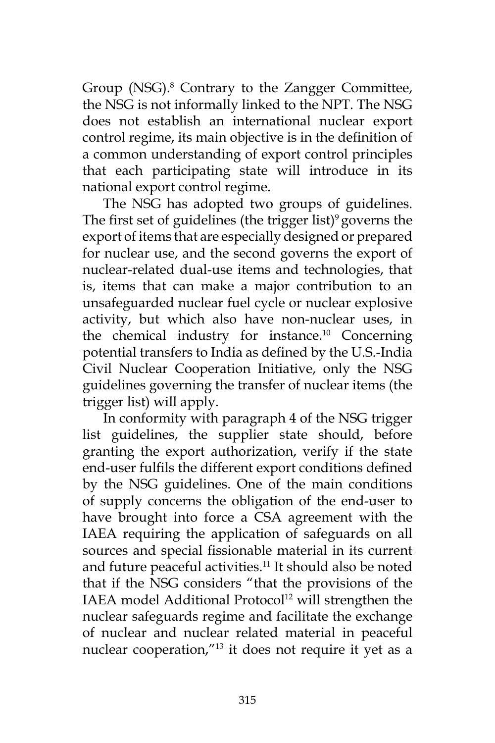Group (NSG).<sup>8</sup> Contrary to the Zangger Committee, the NSG is not informally linked to the NPT. The NSG does not establish an international nuclear export control regime, its main objective is in the definition of a common understanding of export control principles that each participating state will introduce in its national export control regime.

The NSG has adopted two groups of guidelines. The first set of guidelines (the trigger list) $9$  governs the export of items that are especially designed or prepared for nuclear use, and the second governs the export of nuclear-related dual-use items and technologies, that is, items that can make a major contribution to an unsafeguarded nuclear fuel cycle or nuclear explosive activity, but which also have non-nuclear uses, in the chemical industry for instance.10 Concerning potential transfers to India as defined by the U.S.-India Civil Nuclear Cooperation Initiative, only the NSG guidelines governing the transfer of nuclear items (the trigger list) will apply.

In conformity with paragraph 4 of the NSG trigger list guidelines, the supplier state should, before granting the export authorization, verify if the state end-user fulfils the different export conditions defined by the NSG guidelines. One of the main conditions of supply concerns the obligation of the end-user to have brought into force a CSA agreement with the IAEA requiring the application of safeguards on all sources and special fissionable material in its current and future peaceful activities.<sup>11</sup> It should also be noted that if the NSG considers "that the provisions of the IAEA model Additional Protocol<sup>12</sup> will strengthen the nuclear safeguards regime and facilitate the exchange of nuclear and nuclear related material in peaceful nuclear cooperation,"13 it does not require it yet as a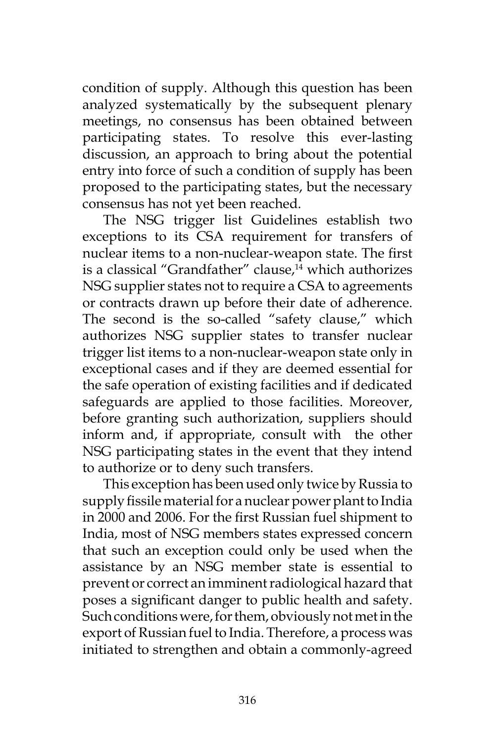condition of supply. Although this question has been analyzed systematically by the subsequent plenary meetings, no consensus has been obtained between participating states. To resolve this ever-lasting discussion, an approach to bring about the potential entry into force of such a condition of supply has been proposed to the participating states, but the necessary consensus has not yet been reached.

The NSG trigger list Guidelines establish two exceptions to its CSA requirement for transfers of nuclear items to a non-nuclear-weapon state. The first is a classical "Grandfather" clause,<sup>14</sup> which authorizes NSG supplier states not to require a CSA to agreements or contracts drawn up before their date of adherence. The second is the so-called "safety clause," which authorizes NSG supplier states to transfer nuclear trigger list items to a non-nuclear-weapon state only in exceptional cases and if they are deemed essential for the safe operation of existing facilities and if dedicated safeguards are applied to those facilities. Moreover, before granting such authorization, suppliers should inform and, if appropriate, consult with the other NSG participating states in the event that they intend to authorize or to deny such transfers.

This exception has been used only twice by Russia to supply fissile material for a nuclear power plant to India in 2000 and 2006. For the first Russian fuel shipment to India, most of NSG members states expressed concern that such an exception could only be used when the assistance by an NSG member state is essential to prevent or correct an imminent radiological hazard that poses a significant danger to public health and safety. Such conditions were, for them, obviously not met in the export of Russian fuel to India. Therefore, a process was initiated to strengthen and obtain a commonly-agreed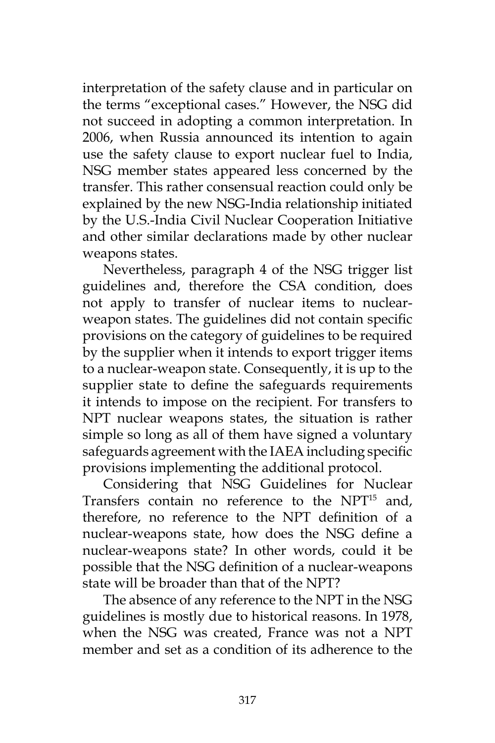interpretation of the safety clause and in particular on the terms "exceptional cases." However, the NSG did not succeed in adopting a common interpretation. In 2006, when Russia announced its intention to again use the safety clause to export nuclear fuel to India, NSG member states appeared less concerned by the transfer. This rather consensual reaction could only be explained by the new NSG-India relationship initiated by the U.S.-India Civil Nuclear Cooperation Initiative and other similar declarations made by other nuclear weapons states.

Nevertheless, paragraph 4 of the NSG trigger list guidelines and, therefore the CSA condition, does not apply to transfer of nuclear items to nuclearweapon states. The guidelines did not contain specific provisions on the category of guidelines to be required by the supplier when it intends to export trigger items to a nuclear-weapon state. Consequently, it is up to the supplier state to define the safeguards requirements it intends to impose on the recipient. For transfers to NPT nuclear weapons states, the situation is rather simple so long as all of them have signed a voluntary safeguards agreement with the IAEA including specific provisions implementing the additional protocol.

Considering that NSG Guidelines for Nuclear Transfers contain no reference to the NPT15 and, therefore, no reference to the NPT definition of a nuclear-weapons state, how does the NSG define a nuclear-weapons state? In other words, could it be possible that the NSG definition of a nuclear-weapons state will be broader than that of the NPT?

The absence of any reference to the NPT in the NSG guidelines is mostly due to historical reasons. In 1978, when the NSG was created, France was not a NPT member and set as a condition of its adherence to the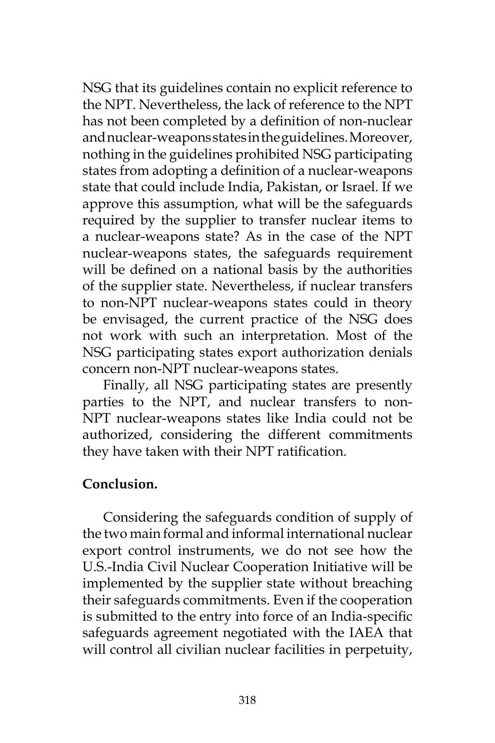NSG that its guidelines contain no explicit reference to the NPT. Nevertheless, the lack of reference to the NPT has not been completed by a definition of non-nuclear and nuclear-weapons states in the guidelines. Moreover, nothing in the guidelines prohibited NSG participating states from adopting a definition of a nuclear-weapons state that could include India, Pakistan, or Israel. If we approve this assumption, what will be the safeguards required by the supplier to transfer nuclear items to a nuclear-weapons state? As in the case of the NPT nuclear-weapons states, the safeguards requirement will be defined on a national basis by the authorities of the supplier state. Nevertheless, if nuclear transfers to non-NPT nuclear-weapons states could in theory be envisaged, the current practice of the NSG does not work with such an interpretation. Most of the NSG participating states export authorization denials concern non-NPT nuclear-weapons states.

Finally, all NSG participating states are presently parties to the NPT, and nuclear transfers to non-NPT nuclear-weapons states like India could not be authorized, considering the different commitments they have taken with their NPT ratification.

## **Conclusion.**

Considering the safeguards condition of supply of the two main formal and informal international nuclear export control instruments, we do not see how the U.S.-India Civil Nuclear Cooperation Initiative will be implemented by the supplier state without breaching their safeguards commitments. Even if the cooperation is submitted to the entry into force of an India-specific safeguards agreement negotiated with the IAEA that will control all civilian nuclear facilities in perpetuity,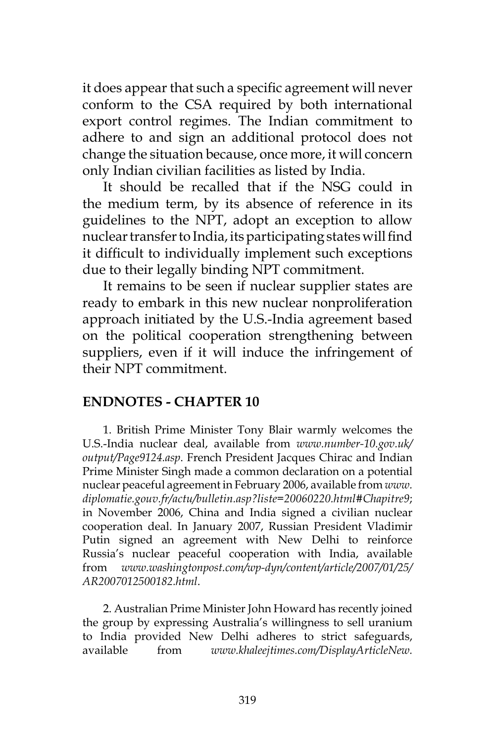it does appear that such a specific agreement will never conform to the CSA required by both international export control regimes. The Indian commitment to adhere to and sign an additional protocol does not change the situation because, once more, it will concern only Indian civilian facilities as listed by India.

It should be recalled that if the NSG could in the medium term, by its absence of reference in its guidelines to the NPT, adopt an exception to allow nuclear transfer to India, its participating states will find it difficult to individually implement such exceptions due to their legally binding NPT commitment.

It remains to be seen if nuclear supplier states are ready to embark in this new nuclear nonproliferation approach initiated by the U.S.-India agreement based on the political cooperation strengthening between suppliers, even if it will induce the infringement of their NPT commitment.

## **ENDNOTES - CHAPTER 10**

1. British Prime Minister Tony Blair warmly welcomes the U.S.-India nuclear deal, available from *www.number-10.gov.uk/ output/Page9124.asp*. French President Jacques Chirac and Indian Prime Minister Singh made a common declaration on a potential nuclear peaceful agreement in February 2006, available from *www. diplomatie.gouv.fr/actu/bulletin.asp?liste=20060220.html#Chapitre9*; in November 2006, China and India signed a civilian nuclear cooperation deal. In January 2007, Russian President Vladimir Putin signed an agreement with New Delhi to reinforce Russia's nuclear peaceful cooperation with India, available from *www.washingtonpost.com/wp-dyn/content/article/2007/01/25/ AR2007012500182.html*.

2. Australian Prime Minister John Howard has recently joined the group by expressing Australia's willingness to sell uranium to India provided New Delhi adheres to strict safeguards, available from *www.khaleejtimes.com/DisplayArticleNew.*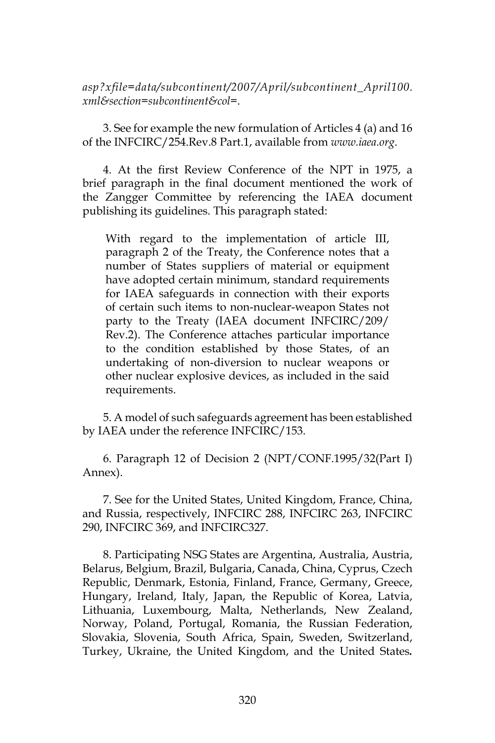*asp?xfile=data/subcontinent/2007/April/subcontinent\_April100. xml&section=subcontinent&col=*.

3. See for example the new formulation of Articles 4 (a) and 16 of the INFCIRC/254.Rev.8 Part.1, available from *www.iaea.org*.

4. At the first Review Conference of the NPT in 1975, a brief paragraph in the final document mentioned the work of the Zangger Committee by referencing the IAEA document publishing its guidelines. This paragraph stated:

With regard to the implementation of article III, paragraph 2 of the Treaty, the Conference notes that a number of States suppliers of material or equipment have adopted certain minimum, standard requirements for IAEA safeguards in connection with their exports of certain such items to non-nuclear-weapon States not party to the Treaty (IAEA document INFCIRC/209/ Rev.2). The Conference attaches particular importance to the condition established by those States, of an undertaking of non-diversion to nuclear weapons or other nuclear explosive devices, as included in the said requirements.

5. A model of such safeguards agreement has been established by IAEA under the reference INFCIRC/153.

6. Paragraph 12 of Decision 2 (NPT/CONF.1995/32(Part I) Annex).

7. See for the United States, United Kingdom, France, China, and Russia, respectively, INFCIRC 288, INFCIRC 263, INFCIRC 290, INFCIRC 369, and INFCIRC327.

8. Participating NSG States are Argentina, Australia, Austria, Belarus, Belgium, Brazil, Bulgaria, Canada, China, Cyprus, Czech Republic, Denmark, Estonia, Finland, France, Germany, Greece, Hungary, Ireland, Italy, Japan, the Republic of Korea, Latvia, Lithuania, Luxembourg, Malta, Netherlands, New Zealand, Norway, Poland, Portugal, Romania, the Russian Federation, Slovakia, Slovenia, South Africa, Spain, Sweden, Switzerland, Turkey, Ukraine, the United Kingdom, and the United States*.*